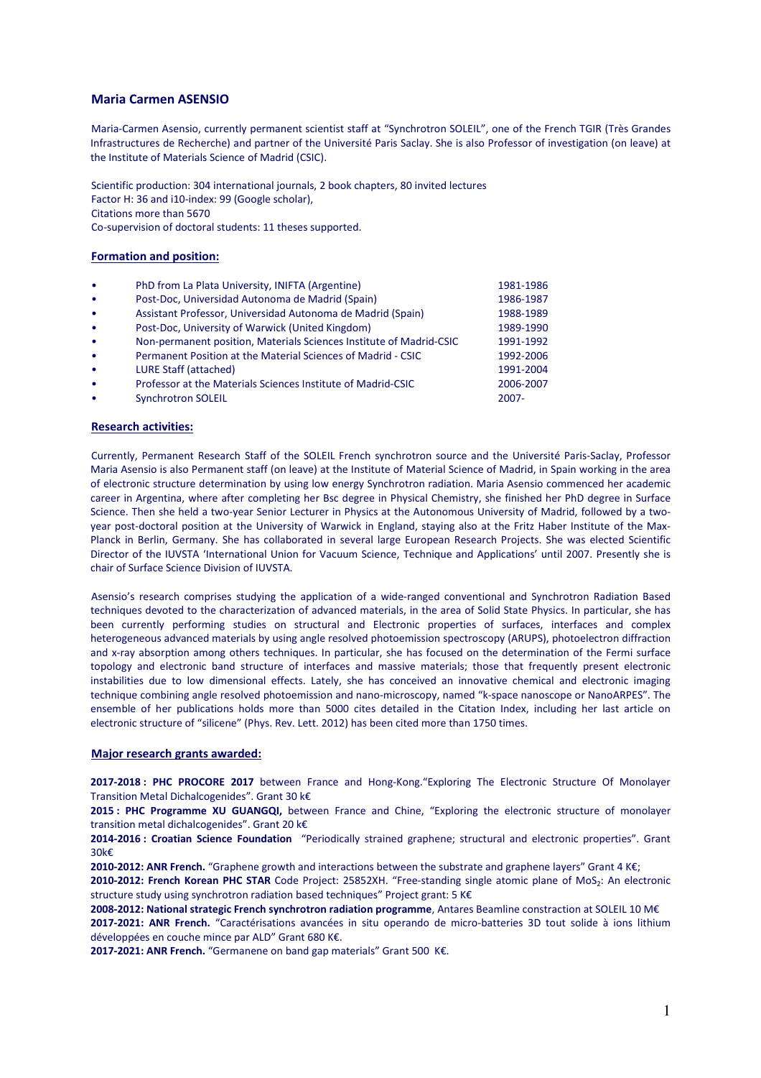# **Maria Carmen ASENSIO**

Maria-Carmen Asensio, currently permanent scientist staff at "Synchrotron SOLEIL", one of the French TGIR (Très Grandes Infrastructures de Recherche) and partner of the Université Paris Saclay. She is also Professor of investigation (on leave) at the Institute of Materials Science of Madrid (CSIC).

Scientific production: 304 international journals, 2 book chapters, 80 invited lectures Factor H: 36 and i10-index: 99 (Google scholar), Citations more than 5670 Co-supervision of doctoral students: 11 theses supported.

### **Formation and position:**

| $\bullet$ | PhD from La Plata University, INIFTA (Argentine)                    | 1981-1986 |
|-----------|---------------------------------------------------------------------|-----------|
| $\bullet$ | Post-Doc, Universidad Autonoma de Madrid (Spain)                    | 1986-1987 |
| $\bullet$ | Assistant Professor, Universidad Autonoma de Madrid (Spain)         | 1988-1989 |
| $\bullet$ | Post-Doc, University of Warwick (United Kingdom)                    | 1989-1990 |
| $\bullet$ | Non-permanent position, Materials Sciences Institute of Madrid-CSIC | 1991-1992 |
| $\bullet$ | Permanent Position at the Material Sciences of Madrid - CSIC        | 1992-2006 |
| $\bullet$ | LURE Staff (attached)                                               | 1991-2004 |
| $\bullet$ | Professor at the Materials Sciences Institute of Madrid-CSIC        | 2006-2007 |
| $\bullet$ | <b>Synchrotron SOLEIL</b>                                           | $2007 -$  |
|           |                                                                     |           |

### **Research activities:**

Currently, Permanent Research Staff of the SOLEIL French synchrotron source and the Université Paris-Saclay, Professor Maria Asensio is also Permanent staff (on leave) at the Institute of Material Science of Madrid, in Spain working in the area of electronic structure determination by using low energy Synchrotron radiation. Maria Asensio commenced her academic career in Argentina, where after completing her Bsc degree in Physical Chemistry, she finished her PhD degree in Surface Science. Then she held a two-year Senior Lecturer in Physics at the Autonomous University of Madrid, followed by a twoyear post-doctoral position at the University of Warwick in England, staying also at the Fritz Haber Institute of the Max-Planck in Berlin, Germany. She has collaborated in several large European Research Projects. She was elected Scientific Director of the IUVSTA 'International Union for Vacuum Science, Technique and Applications' until 2007. Presently she is chair of Surface Science Division of IUVSTA.

Asensio's research comprises studying the application of a wide-ranged conventional and Synchrotron Radiation Based techniques devoted to the characterization of advanced materials, in the area of Solid State Physics. In particular, she has been currently performing studies on structural and Electronic properties of surfaces, interfaces and complex heterogeneous advanced materials by using angle resolved photoemission spectroscopy (ARUPS), photoelectron diffraction and x-ray absorption among others techniques. In particular, she has focused on the determination of the Fermi surface topology and electronic band structure of interfaces and massive materials; those that frequently present electronic instabilities due to low dimensional effects. Lately, she has conceived an innovative chemical and electronic imaging technique combining angle resolved photoemission and nano-microscopy, named "k-space nanoscope or NanoARPES". The ensemble of her publications holds more than 5000 cites detailed in the Citation Index, including her last article on electronic structure of "silicene" (Phys. Rev. Lett. 2012) has been cited more than 1750 times.

### **Major research grants awarded:**

**2017-2018 : PHC PROCORE 2017** between France and Hong-Kong."Exploring The Electronic Structure Of Monolayer Transition Metal Dichalcogenides". Grant 30 k€

**2015 : PHC Programme XU GUANGQI,** between France and Chine, "Exploring the electronic structure of monolayer transition metal dichalcogenides". Grant 20 k€

**2014-2016 : Croatian Science Foundation** "Periodically strained graphene; structural and electronic properties". Grant 30k€

**2010-2012: ANR French.** "Graphene growth and interactions between the substrate and graphene layers" Grant 4 K€;

2010-2012: French Korean PHC STAR Code Project: 25852XH. "Free-standing single atomic plane of MoS<sub>2</sub>: An electronic structure study using synchrotron radiation based techniques" Project grant: 5 K€

**2008-2012: National strategic French synchrotron radiation programme**, Antares Beamline constraction at SOLEIL 10 M€ **2017-2021: ANR French.** "Caractérisations avancées in situ operando de micro-batteries 3D tout solide à ions lithium développées en couche mince par ALD" Grant 680 K€.

**2017-2021: ANR French.** "Germanene on band gap materials" Grant 500 K€.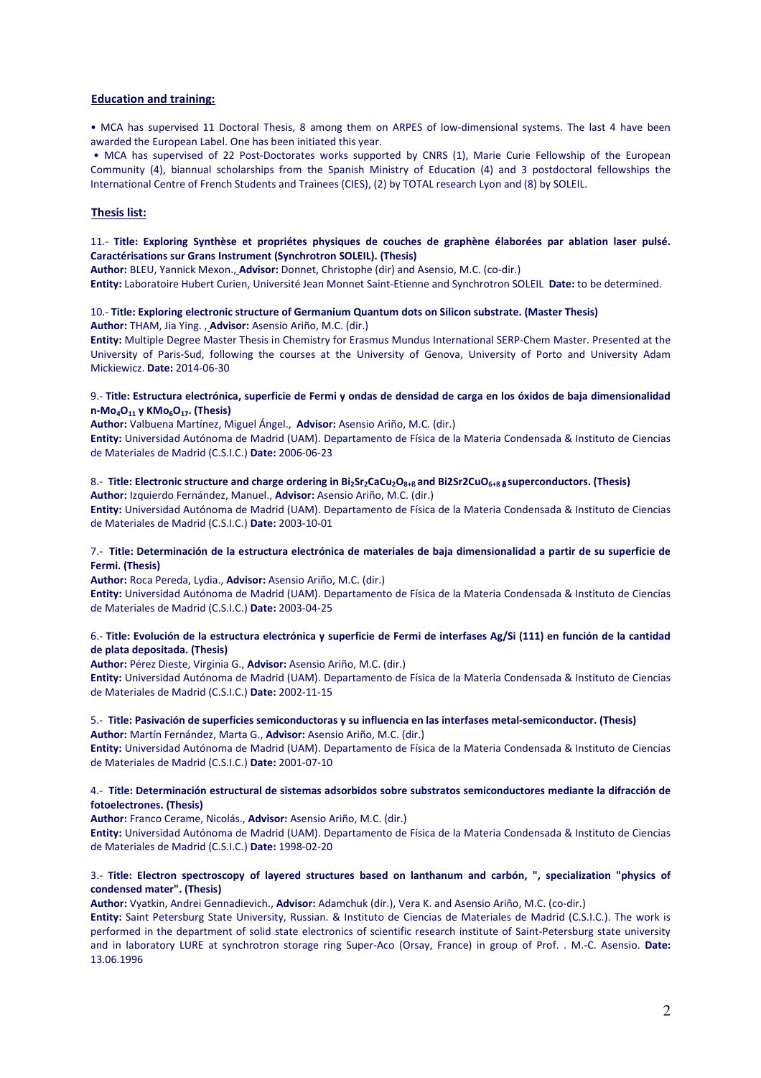### **Education and training:**

• MCA has supervised 11 Doctoral Thesis, 8 among them on ARPES of low-dimensional systems. The last 4 have been awarded the European Label. One has been initiated this year.

• MCA has supervised of 22 Post-Doctorates works supported by CNRS (1), Marie Curie Fellowship of the European Community (4), biannual scholarships from the Spanish Ministry of Education (4) and 3 postdoctoral fellowships the International Centre of French Students and Trainees (CIES), (2) by TOTAL research Lyon and (8) by SOLEIL.

# **Thesis list:**

# 11.- **Title: Exploring Synthèse et propriétes physiques de couches de graphène élaborées par ablation laser pulsé. Caractérisations sur Grans Instrument (Synchrotron SOLEIL). (Thesis)**

**Author:** BLEU, Yannick Mexon., **Advisor:** Donnet, Christophe (dir) and Asensio, M.C. (co-dir.)

# **Entity:** Laboratoire Hubert Curien, Université Jean Monnet Saint-Etienne and Synchrotron SOLEIL **Date:** to be determined.

#### 10.- **Title: Exploring electronic structure of Germanium Quantum dots on Silicon substrate. (Master Thesis) Author:** THAM, Jia Ying. , **Advisor:** Asensio Ariño, M.C. (dir.)

**Entity:** Multiple Degree Master Thesis in Chemistry for Erasmus Mundus International SERP-Chem Master. Presented at the University of Paris-Sud, following the courses at the University of Genova, University of Porto and University Adam Mickiewicz. **Date:** 2014-06-30

### 9.- **Title: Estructura electrónica, superficie de Fermi y ondas de densidad de carga en los óxidos de baja dimensionalidad n-Mo4O11 y KMo6O17. (Thesis)**

**Author:** Valbuena Martínez, Miguel Ángel., **Advisor:** Asensio Ariño, M.C. (dir.)

**Entity:** Universidad Autónoma de Madrid (UAM). Departamento de Física de la Materia Condensada & Instituto de Ciencias de Materiales de Madrid (C.S.I.C.) **Date:** 2006-06-23

# 8.- **Title: Electronic structure and charge ordering in Bi2Sr2CaCu2O8+ß and Bi2Sr2CuO6+ß** <sup>δ</sup> **superconductors. (Thesis)**

**Author:** Izquierdo Fernández, Manuel., **Advisor:** Asensio Ariño, M.C. (dir.)

**Entity:** Universidad Autónoma de Madrid (UAM). Departamento de Física de la Materia Condensada & Instituto de Ciencias de Materiales de Madrid (C.S.I.C.) **Date:** 2003-10-01

# 7.- **Title: Determinación de la estructura electrónica de materiales de baja dimensionalidad a partir de su superficie de Fermi. (Thesis)**

**Author:** Roca Pereda, Lydia., **Advisor:** Asensio Ariño, M.C. (dir.)

**Entity:** Universidad Autónoma de Madrid (UAM). Departamento de Física de la Materia Condensada & Instituto de Ciencias de Materiales de Madrid (C.S.I.C.) **Date:** 2003-04-25

# 6.- **Title: Evolución de la estructura electrónica y superficie de Fermi de interfases Ag/Si (111) en función de la cantidad de plata depositada. (Thesis)**

**Author:** Pérez Dieste, Virginia G., **Advisor:** Asensio Ariño, M.C. (dir.)

**Entity:** Universidad Autónoma de Madrid (UAM). Departamento de Física de la Materia Condensada & Instituto de Ciencias de Materiales de Madrid (C.S.I.C.) **Date:** 2002-11-15

### 5.- **Title: Pasivación de superficies semiconductoras y su influencia en las interfases metal-semiconductor. (Thesis) Author:** Martín Fernández, Marta G., **Advisor:** Asensio Ariño, M.C. (dir.)

**Entity:** Universidad Autónoma de Madrid (UAM). Departamento de Física de la Materia Condensada & Instituto de Ciencias de Materiales de Madrid (C.S.I.C.) **Date:** 2001-07-10

### 4.- **Title: Determinación estructural de sistemas adsorbidos sobre substratos semiconductores mediante la difracción de fotoelectrones. (Thesis)**

**Author:** Franco Cerame, Nicolás., **Advisor:** Asensio Ariño, M.C. (dir.)

**Entity:** Universidad Autónoma de Madrid (UAM). Departamento de Física de la Materia Condensada & Instituto de Ciencias de Materiales de Madrid (C.S.I.C.) **Date:** 1998-02-20

### 3.- **Title: Electron spectroscopy of layered structures based on lanthanum and carbón, ", specialization "physics of condensed mater". (Thesis)**

**Author:** Vyatkin, Andrei Gennadievich., **Advisor:** Adamchuk (dir.), Vera K. and Asensio Ariño, M.C. (co-dir.)

**Entity:** Saint Petersburg State University, Russian. & Instituto de Ciencias de Materiales de Madrid (C.S.I.C.). The work is performed in the department of solid state electronics of scientific research institute of Saint-Petersburg state university and in laboratory LURE at synchrotron storage ring Super-Aco (Orsay, France) in group of Prof. . M.-C. Asensio. **Date:** 13.06.1996